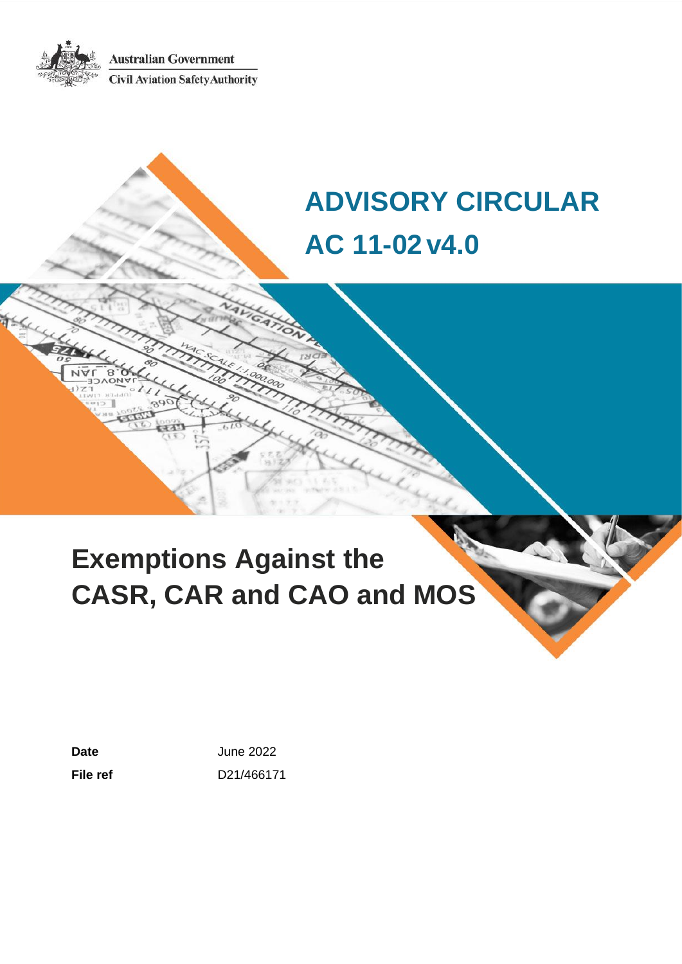**Australian Government Civil Aviation Safety Authority** 

# **ADVISORY CIRCULAR AC 11-02v4.0**

# **Exemptions Against the CASR, CAR and CAO and MOS**

**Date** June 2022 **File ref** D21/466171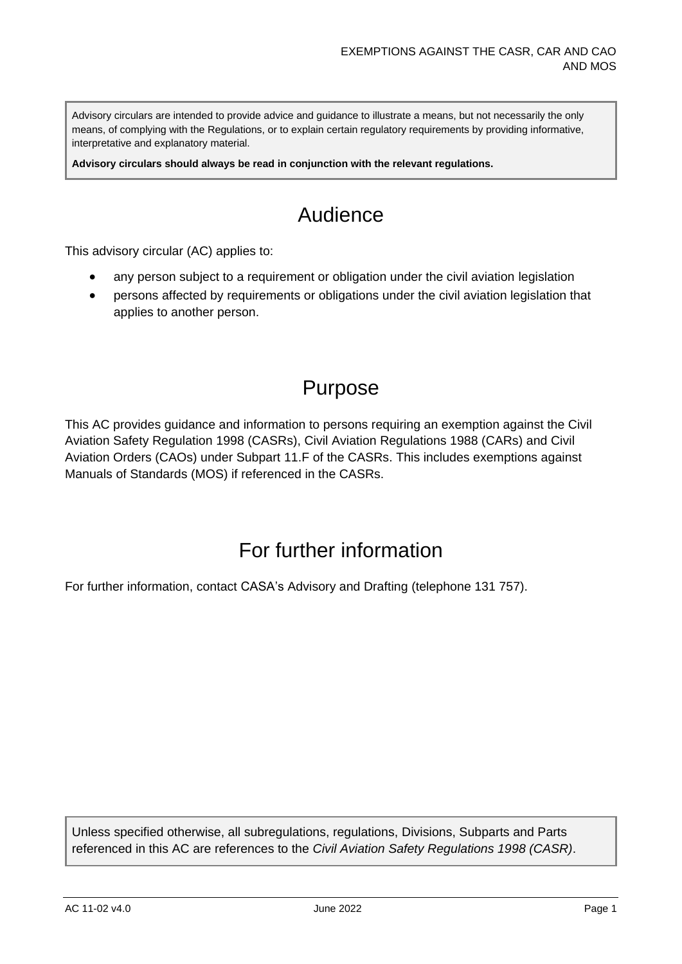Advisory circulars are intended to provide advice and guidance to illustrate a means, but not necessarily the only means, of complying with the Regulations, or to explain certain regulatory requirements by providing informative, interpretative and explanatory material.

**Advisory circulars should always be read in conjunction with the relevant regulations.**

## Audience

This advisory circular (AC) applies to:

- any person subject to a requirement or obligation under the civil aviation legislation
- persons affected by requirements or obligations under the civil aviation legislation that applies to another person.

### Purpose

This AC provides guidance and information to persons requiring an exemption against the Civil Aviation Safety Regulation 1998 (CASRs), Civil Aviation Regulations 1988 (CARs) and Civil Aviation Orders (CAOs) under Subpart 11.F of the CASRs. This includes exemptions against Manuals of Standards (MOS) if referenced in the CASRs.

### For further information

For further information, contact CASA's Advisory and Drafting (telephone 131 757).

Unless specified otherwise, all subregulations, regulations, Divisions, Subparts and Parts referenced in this AC are references to the *Civil Aviation Safety Regulations 1998 (CASR)*.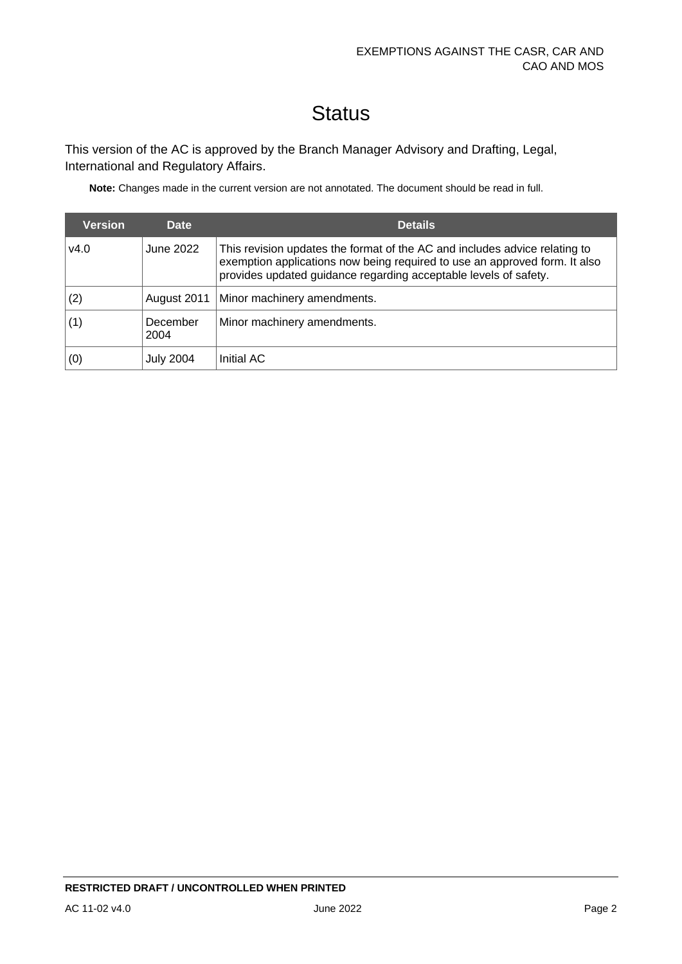# **Status**

This version of the AC is approved by the Branch Manager Advisory and Drafting, Legal, International and Regulatory Affairs.

**Note:** Changes made in the current version are not annotated. The document should be read in full.

| <b>Version</b> | Date             | <b>Details</b>                                                                                                                                                                                                               |
|----------------|------------------|------------------------------------------------------------------------------------------------------------------------------------------------------------------------------------------------------------------------------|
| v4.0           | June 2022        | This revision updates the format of the AC and includes advice relating to<br>exemption applications now being required to use an approved form. It also<br>provides updated guidance regarding acceptable levels of safety. |
| (2)            | August 2011      | Minor machinery amendments.                                                                                                                                                                                                  |
|                | December<br>2004 | Minor machinery amendments.                                                                                                                                                                                                  |
| (0)            | <b>July 2004</b> | Initial AC                                                                                                                                                                                                                   |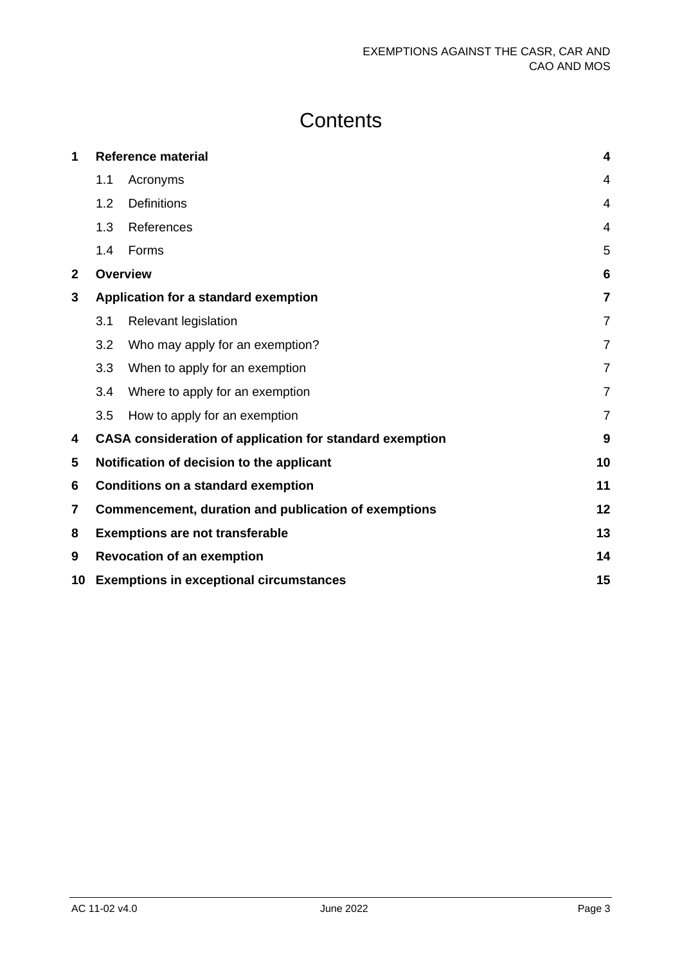# **Contents**

| 1               |                                                            | <b>Reference material</b>                                | $\overline{\mathbf{4}}$ |
|-----------------|------------------------------------------------------------|----------------------------------------------------------|-------------------------|
|                 | 1.1                                                        | Acronyms                                                 | $\overline{4}$          |
|                 | 1.2                                                        | <b>Definitions</b>                                       | 4                       |
|                 | 1.3                                                        | References                                               | $\overline{4}$          |
|                 | 1.4                                                        | Forms                                                    | 5                       |
| $\overline{2}$  |                                                            | <b>Overview</b>                                          | 6                       |
| 3               |                                                            | Application for a standard exemption                     | 7                       |
|                 | 3.1                                                        | <b>Relevant legislation</b>                              | $\overline{7}$          |
|                 | 3.2                                                        | Who may apply for an exemption?                          | $\overline{7}$          |
|                 | 3.3                                                        | When to apply for an exemption                           | $\overline{7}$          |
|                 | 3.4                                                        | Where to apply for an exemption                          | $\overline{7}$          |
|                 | 3.5                                                        | How to apply for an exemption                            | $\overline{7}$          |
| 4               |                                                            | CASA consideration of application for standard exemption | 9                       |
| 5               |                                                            | Notification of decision to the applicant                | 10                      |
| 6               |                                                            | <b>Conditions on a standard exemption</b>                | 11                      |
| 7               | 12<br>Commencement, duration and publication of exemptions |                                                          |                         |
| 8               | <b>Exemptions are not transferable</b>                     |                                                          |                         |
| 9               | 14<br><b>Revocation of an exemption</b>                    |                                                          |                         |
| 10 <sup>1</sup> | 15<br><b>Exemptions in exceptional circumstances</b>       |                                                          |                         |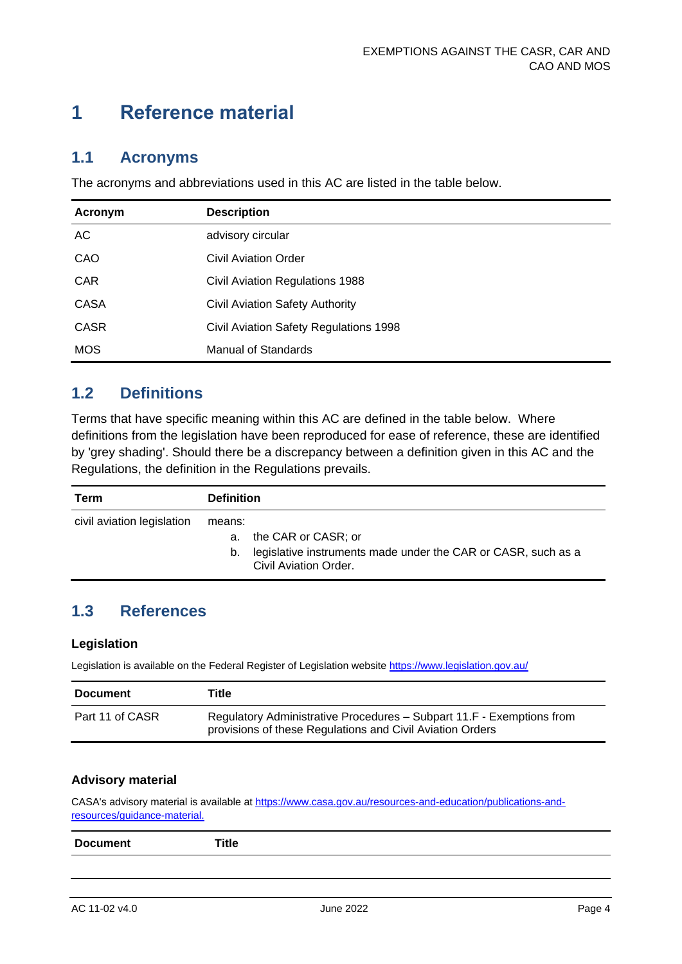### <span id="page-4-0"></span>**1 Reference material**

#### <span id="page-4-1"></span>**1.1 Acronyms**

The acronyms and abbreviations used in this AC are listed in the table below.

| Acronym     | <b>Description</b>                     |
|-------------|----------------------------------------|
| AC          | advisory circular                      |
| CAO         | <b>Civil Aviation Order</b>            |
| <b>CAR</b>  | Civil Aviation Regulations 1988        |
| <b>CASA</b> | <b>Civil Aviation Safety Authority</b> |
| <b>CASR</b> | Civil Aviation Safety Regulations 1998 |
| <b>MOS</b>  | Manual of Standards                    |

#### <span id="page-4-2"></span>**1.2 Definitions**

Terms that have specific meaning within this AC are defined in the table below. Where definitions from the legislation have been reproduced for ease of reference, these are identified by 'grey shading'. Should there be a discrepancy between a definition given in this AC and the Regulations, the definition in the Regulations prevails.

| Term                       | <b>Definition</b>                                                                                                                |
|----------------------------|----------------------------------------------------------------------------------------------------------------------------------|
| civil aviation legislation | means:<br>a. the CAR or CASR; or<br>legislative instruments made under the CAR or CASR, such as a<br>b.<br>Civil Aviation Order. |

#### <span id="page-4-3"></span>**1.3 References**

#### **Legislation**

Legislation is available on the Federal Register of Legislation website<https://www.legislation.gov.au/>

| <b>Document</b> | Title                                                                                                                              |
|-----------------|------------------------------------------------------------------------------------------------------------------------------------|
| Part 11 of CASR | Regulatory Administrative Procedures - Subpart 11.F - Exemptions from<br>provisions of these Regulations and Civil Aviation Orders |

#### **Advisory material**

CASA's advisory material is available at [https://www.casa.gov.au/resources-and-education/publications-and](https://www.casa.gov.au/resources-and-education/publications-and-resources/guidance-material)[resources/guidance-material.](https://www.casa.gov.au/resources-and-education/publications-and-resources/guidance-material)

| <b>D</b> -<br>$- - -$<br>. .<br>пеп.<br>$\qquad \qquad \cdots \qquad \qquad$ | пие |
|------------------------------------------------------------------------------|-----|
|                                                                              |     |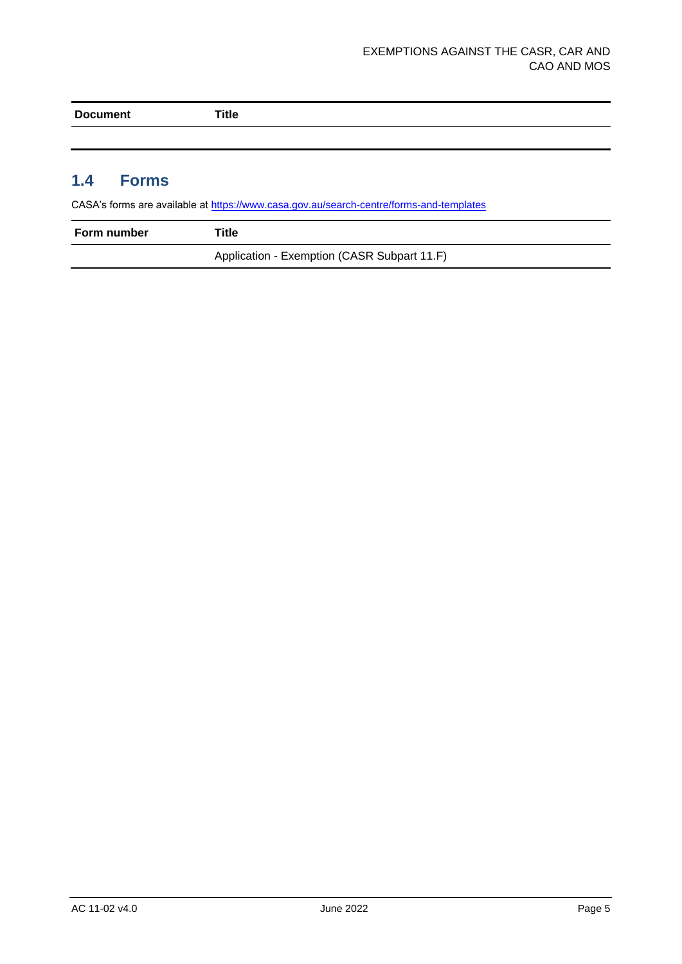| Doc<br>nem<br>- - | ا itle |
|-------------------|--------|
|                   |        |

#### <span id="page-5-0"></span>**1.4 Forms**

CASA's forms are available at<https://www.casa.gov.au/search-centre/forms-and-templates>

| Form number | Title                                       |
|-------------|---------------------------------------------|
|             | Application - Exemption (CASR Subpart 11.F) |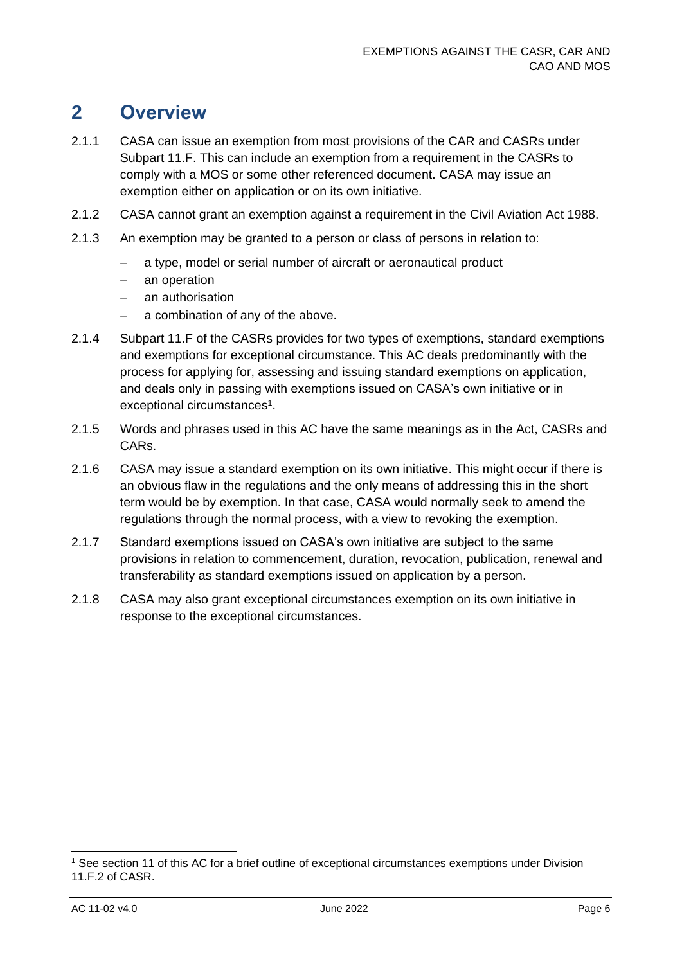### <span id="page-6-0"></span>**2 Overview**

- 2.1.1 CASA can issue an exemption from most provisions of the CAR and CASRs under Subpart 11.F. This can include an exemption from a requirement in the CASRs to comply with a MOS or some other referenced document. CASA may issue an exemption either on application or on its own initiative.
- 2.1.2 CASA cannot grant an exemption against a requirement in the Civil Aviation Act 1988.
- 2.1.3 An exemption may be granted to a person or class of persons in relation to:
	- a type, model or serial number of aircraft or aeronautical product
	- − an operation
	- − an authorisation
	- − a combination of any of the above.
- 2.1.4 Subpart 11.F of the CASRs provides for two types of exemptions, standard exemptions and exemptions for exceptional circumstance. This AC deals predominantly with the process for applying for, assessing and issuing standard exemptions on application, and deals only in passing with exemptions issued on CASA's own initiative or in exceptional circumstances<sup>1</sup>.
- 2.1.5 Words and phrases used in this AC have the same meanings as in the Act, CASRs and CARs.
- 2.1.6 CASA may issue a standard exemption on its own initiative. This might occur if there is an obvious flaw in the regulations and the only means of addressing this in the short term would be by exemption. In that case, CASA would normally seek to amend the regulations through the normal process, with a view to revoking the exemption.
- 2.1.7 Standard exemptions issued on CASA's own initiative are subject to the same provisions in relation to commencement, duration, revocation, publication, renewal and transferability as standard exemptions issued on application by a person.
- 2.1.8 CASA may also grant exceptional circumstances exemption on its own initiative in response to the exceptional circumstances.

<sup>1</sup> See section 11 of this AC for a brief outline of exceptional circumstances exemptions under Division 11.F.2 of CASR.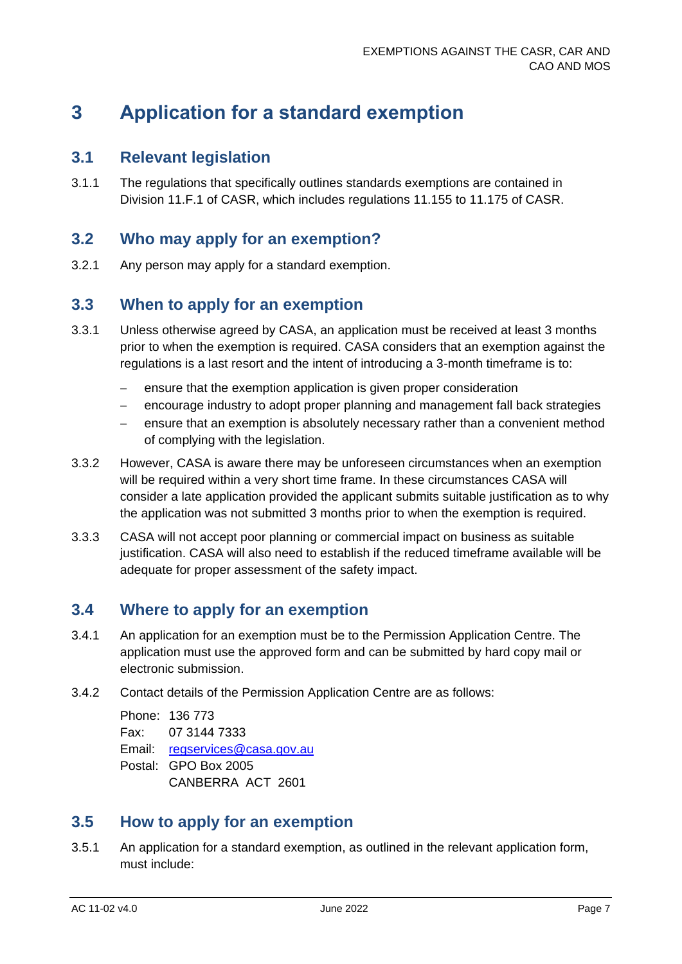### <span id="page-7-0"></span>**3 Application for a standard exemption**

#### <span id="page-7-1"></span>**3.1 Relevant legislation**

3.1.1 The regulations that specifically outlines standards exemptions are contained in Division 11.F.1 of CASR, which includes regulations 11.155 to 11.175 of CASR.

#### <span id="page-7-2"></span>**3.2 Who may apply for an exemption?**

3.2.1 Any person may apply for a standard exemption.

#### <span id="page-7-3"></span>**3.3 When to apply for an exemption**

- 3.3.1 Unless otherwise agreed by CASA, an application must be received at least 3 months prior to when the exemption is required. CASA considers that an exemption against the regulations is a last resort and the intent of introducing a 3-month timeframe is to:
	- − ensure that the exemption application is given proper consideration
	- − encourage industry to adopt proper planning and management fall back strategies
	- ensure that an exemption is absolutely necessary rather than a convenient method of complying with the legislation.
- 3.3.2 However, CASA is aware there may be unforeseen circumstances when an exemption will be required within a very short time frame. In these circumstances CASA will consider a late application provided the applicant submits suitable justification as to why the application was not submitted 3 months prior to when the exemption is required.
- 3.3.3 CASA will not accept poor planning or commercial impact on business as suitable justification. CASA will also need to establish if the reduced timeframe available will be adequate for proper assessment of the safety impact.

#### <span id="page-7-4"></span>**3.4 Where to apply for an exemption**

- 3.4.1 An application for an exemption must be to the Permission Application Centre. The application must use the approved form and can be submitted by hard copy mail or electronic submission.
- 3.4.2 Contact details of the Permission Application Centre are as follows:

Phone: 136 773 Fax: 07 3144 7333 Email: [regservices@casa.gov.au](mailto:regservices@casa.gov.au) Postal: GPO Box 2005 CANBERRA ACT 2601

#### <span id="page-7-5"></span>**3.5 How to apply for an exemption**

3.5.1 An application for a standard exemption, as outlined in the relevant application form, must include: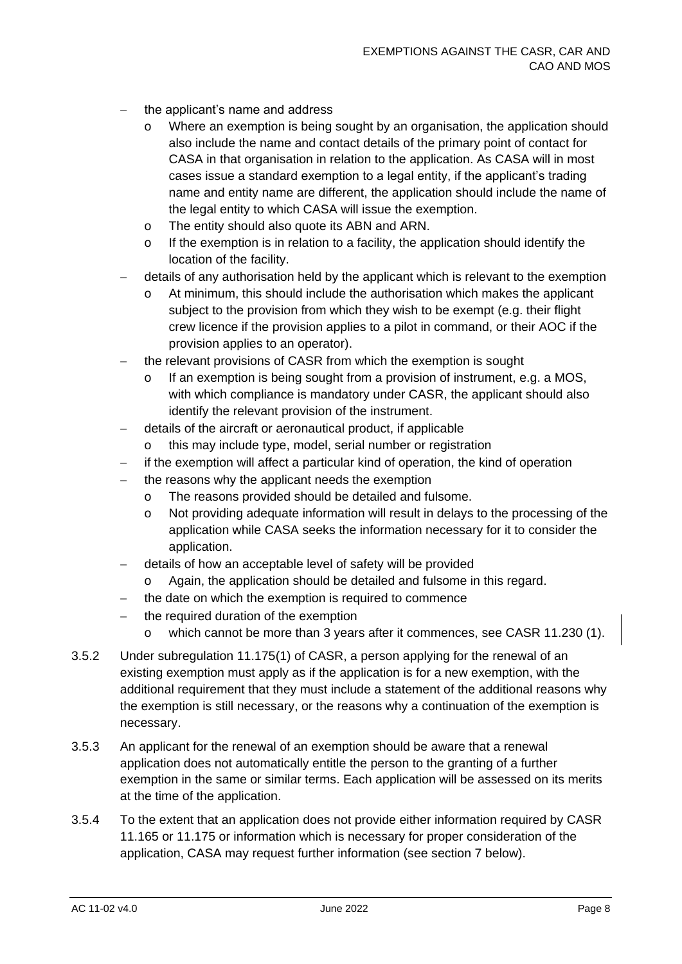- the applicant's name and address
	- o Where an exemption is being sought by an organisation, the application should also include the name and contact details of the primary point of contact for CASA in that organisation in relation to the application. As CASA will in most cases issue a standard exemption to a legal entity, if the applicant's trading name and entity name are different, the application should include the name of the legal entity to which CASA will issue the exemption.
	- o The entity should also quote its ABN and ARN.
	- o If the exemption is in relation to a facility, the application should identify the location of the facility.
- − details of any authorisation held by the applicant which is relevant to the exemption
	- o At minimum, this should include the authorisation which makes the applicant subject to the provision from which they wish to be exempt (e.g. their flight crew licence if the provision applies to a pilot in command, or their AOC if the provision applies to an operator).
- the relevant provisions of CASR from which the exemption is sought
	- o If an exemption is being sought from a provision of instrument, e.g. a MOS, with which compliance is mandatory under CASR, the applicant should also identify the relevant provision of the instrument.
- − details of the aircraft or aeronautical product, if applicable
	- o this may include type, model, serial number or registration
- if the exemption will affect a particular kind of operation, the kind of operation
- the reasons why the applicant needs the exemption
	- o The reasons provided should be detailed and fulsome.
	- o Not providing adequate information will result in delays to the processing of the application while CASA seeks the information necessary for it to consider the application.
- − details of how an acceptable level of safety will be provided
	- Again, the application should be detailed and fulsome in this regard.
- the date on which the exemption is required to commence
- the required duration of the exemption
	- o which cannot be more than 3 years after it commences, see CASR 11.230 (1).
- 3.5.2 Under subregulation 11.175(1) of CASR, a person applying for the renewal of an existing exemption must apply as if the application is for a new exemption, with the additional requirement that they must include a statement of the additional reasons why the exemption is still necessary, or the reasons why a continuation of the exemption is necessary.
- 3.5.3 An applicant for the renewal of an exemption should be aware that a renewal application does not automatically entitle the person to the granting of a further exemption in the same or similar terms. Each application will be assessed on its merits at the time of the application.
- 3.5.4 To the extent that an application does not provide either information required by CASR 11.165 or 11.175 or information which is necessary for proper consideration of the application, CASA may request further information (see section 7 below).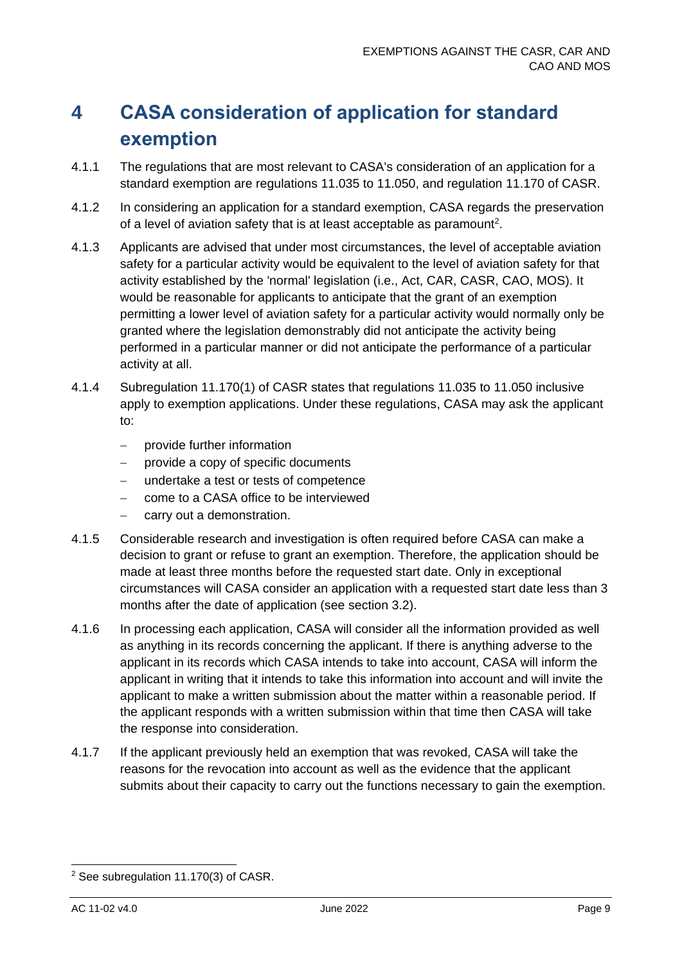# <span id="page-9-0"></span>**4 CASA consideration of application for standard exemption**

- 4.1.1 The regulations that are most relevant to CASA's consideration of an application for a standard exemption are regulations 11.035 to 11.050, and regulation 11.170 of CASR.
- 4.1.2 In considering an application for a standard exemption, CASA regards the preservation of a level of aviation safety that is at least acceptable as paramount<sup>2</sup>.
- 4.1.3 Applicants are advised that under most circumstances, the level of acceptable aviation safety for a particular activity would be equivalent to the level of aviation safety for that activity established by the 'normal' legislation (i.e., Act, CAR, CASR, CAO, MOS). It would be reasonable for applicants to anticipate that the grant of an exemption permitting a lower level of aviation safety for a particular activity would normally only be granted where the legislation demonstrably did not anticipate the activity being performed in a particular manner or did not anticipate the performance of a particular activity at all.
- 4.1.4 Subregulation 11.170(1) of CASR states that regulations 11.035 to 11.050 inclusive apply to exemption applications. Under these regulations, CASA may ask the applicant to:
	- − provide further information
	- provide a copy of specific documents
	- − undertake a test or tests of competence
	- − come to a CASA office to be interviewed
	- carry out a demonstration.
- 4.1.5 Considerable research and investigation is often required before CASA can make a decision to grant or refuse to grant an exemption. Therefore, the application should be made at least three months before the requested start date. Only in exceptional circumstances will CASA consider an application with a requested start date less than 3 months after the date of application (see section 3.2).
- 4.1.6 In processing each application, CASA will consider all the information provided as well as anything in its records concerning the applicant. If there is anything adverse to the applicant in its records which CASA intends to take into account, CASA will inform the applicant in writing that it intends to take this information into account and will invite the applicant to make a written submission about the matter within a reasonable period. If the applicant responds with a written submission within that time then CASA will take the response into consideration.
- 4.1.7 If the applicant previously held an exemption that was revoked, CASA will take the reasons for the revocation into account as well as the evidence that the applicant submits about their capacity to carry out the functions necessary to gain the exemption.

<sup>2</sup> See subregulation 11.170(3) of CASR.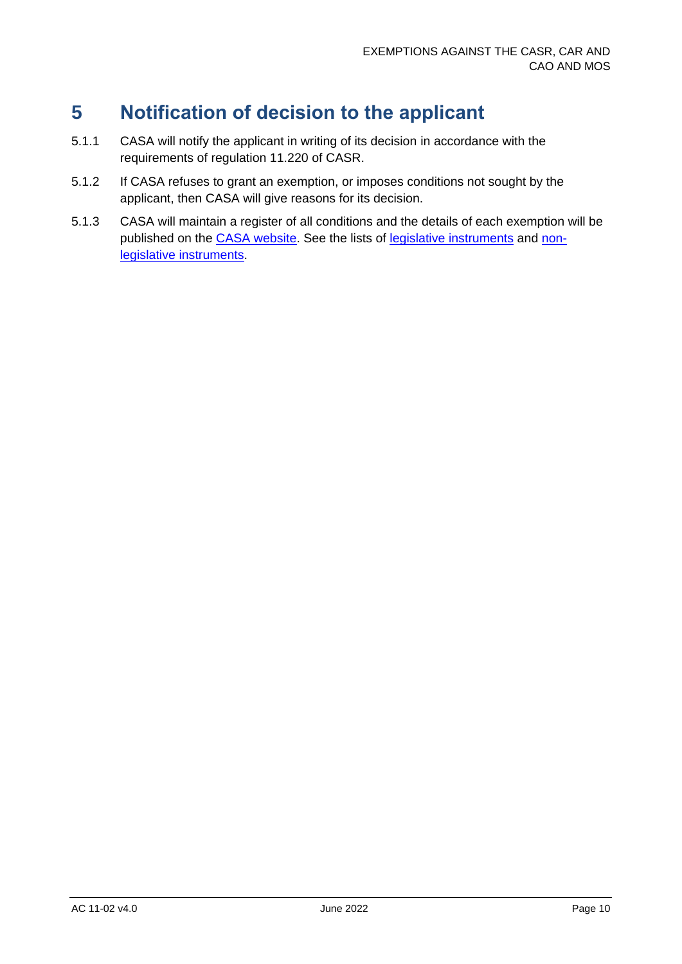### <span id="page-10-0"></span>**5 Notification of decision to the applicant**

- 5.1.1 CASA will notify the applicant in writing of its decision in accordance with the requirements of regulation 11.220 of CASR.
- 5.1.2 If CASA refuses to grant an exemption, or imposes conditions not sought by the applicant, then CASA will give reasons for its decision.
- 5.1.3 CASA will maintain a register of all conditions and the details of each exemption will be published on the [CASA website.](https://www.casa.gov.au/) See the lists of [legislative instruments](https://www.casa.gov.au/search-centre/legislative-instruments) and [non](https://www.casa.gov.au/search-centre/non-legislative-instruments)[legislative instruments.](https://www.casa.gov.au/search-centre/non-legislative-instruments)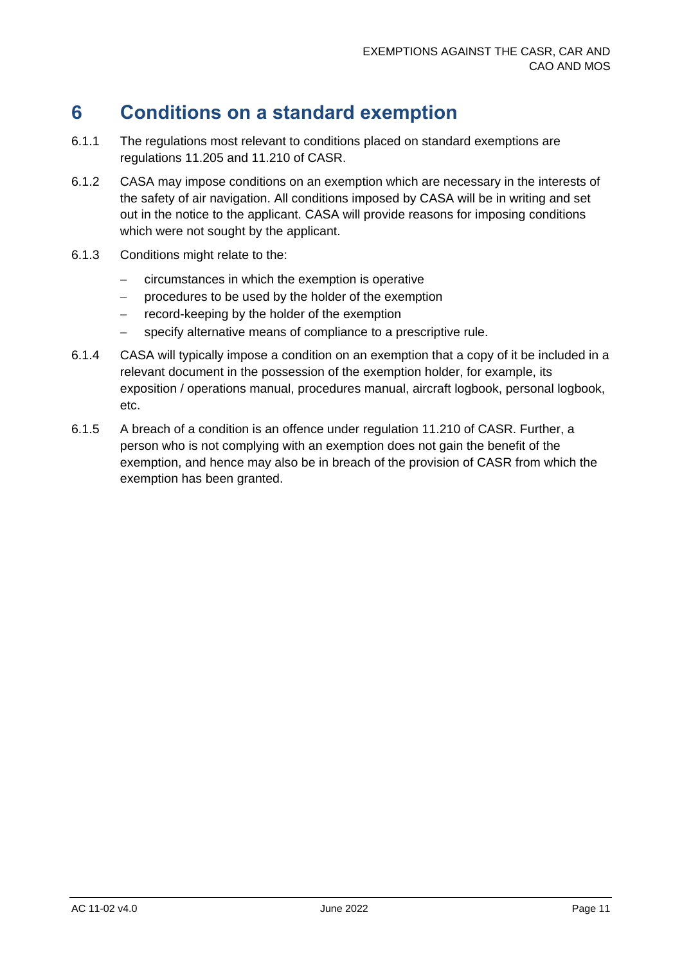### <span id="page-11-0"></span>**6 Conditions on a standard exemption**

- 6.1.1 The regulations most relevant to conditions placed on standard exemptions are regulations 11.205 and 11.210 of CASR.
- 6.1.2 CASA may impose conditions on an exemption which are necessary in the interests of the safety of air navigation. All conditions imposed by CASA will be in writing and set out in the notice to the applicant. CASA will provide reasons for imposing conditions which were not sought by the applicant.
- 6.1.3 Conditions might relate to the:
	- − circumstances in which the exemption is operative
	- − procedures to be used by the holder of the exemption
	- − record-keeping by the holder of the exemption
	- − specify alternative means of compliance to a prescriptive rule.
- 6.1.4 CASA will typically impose a condition on an exemption that a copy of it be included in a relevant document in the possession of the exemption holder, for example, its exposition / operations manual, procedures manual, aircraft logbook, personal logbook, etc.
- 6.1.5 A breach of a condition is an offence under regulation 11.210 of CASR. Further, a person who is not complying with an exemption does not gain the benefit of the exemption, and hence may also be in breach of the provision of CASR from which the exemption has been granted.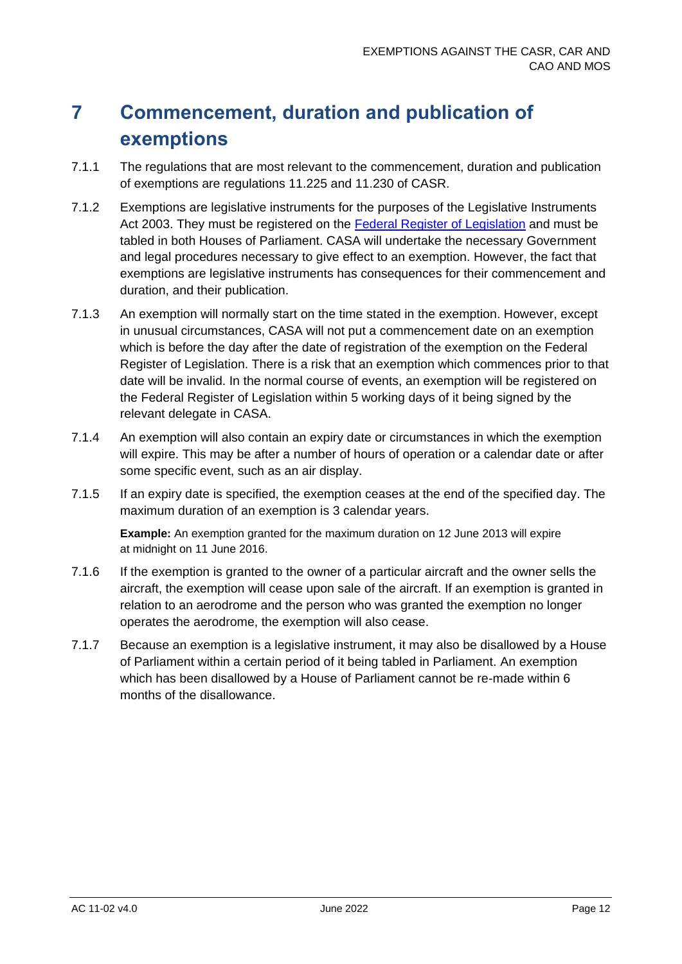## <span id="page-12-0"></span>**7 Commencement, duration and publication of exemptions**

- 7.1.1 The regulations that are most relevant to the commencement, duration and publication of exemptions are regulations 11.225 and 11.230 of CASR.
- 7.1.2 Exemptions are legislative instruments for the purposes of the Legislative Instruments Act 2003. They must be registered on the [Federal Register of Legislation](https://www.legislation.gov.au/) and must be tabled in both Houses of Parliament. CASA will undertake the necessary Government and legal procedures necessary to give effect to an exemption. However, the fact that exemptions are legislative instruments has consequences for their commencement and duration, and their publication.
- 7.1.3 An exemption will normally start on the time stated in the exemption. However, except in unusual circumstances, CASA will not put a commencement date on an exemption which is before the day after the date of registration of the exemption on the Federal Register of Legislation. There is a risk that an exemption which commences prior to that date will be invalid. In the normal course of events, an exemption will be registered on the Federal Register of Legislation within 5 working days of it being signed by the relevant delegate in CASA.
- 7.1.4 An exemption will also contain an expiry date or circumstances in which the exemption will expire. This may be after a number of hours of operation or a calendar date or after some specific event, such as an air display.
- 7.1.5 If an expiry date is specified, the exemption ceases at the end of the specified day. The maximum duration of an exemption is 3 calendar years.

**Example:** An exemption granted for the maximum duration on 12 June 2013 will expire at midnight on 11 June 2016.

- 7.1.6 If the exemption is granted to the owner of a particular aircraft and the owner sells the aircraft, the exemption will cease upon sale of the aircraft. If an exemption is granted in relation to an aerodrome and the person who was granted the exemption no longer operates the aerodrome, the exemption will also cease.
- 7.1.7 Because an exemption is a legislative instrument, it may also be disallowed by a House of Parliament within a certain period of it being tabled in Parliament. An exemption which has been disallowed by a House of Parliament cannot be re-made within 6 months of the disallowance.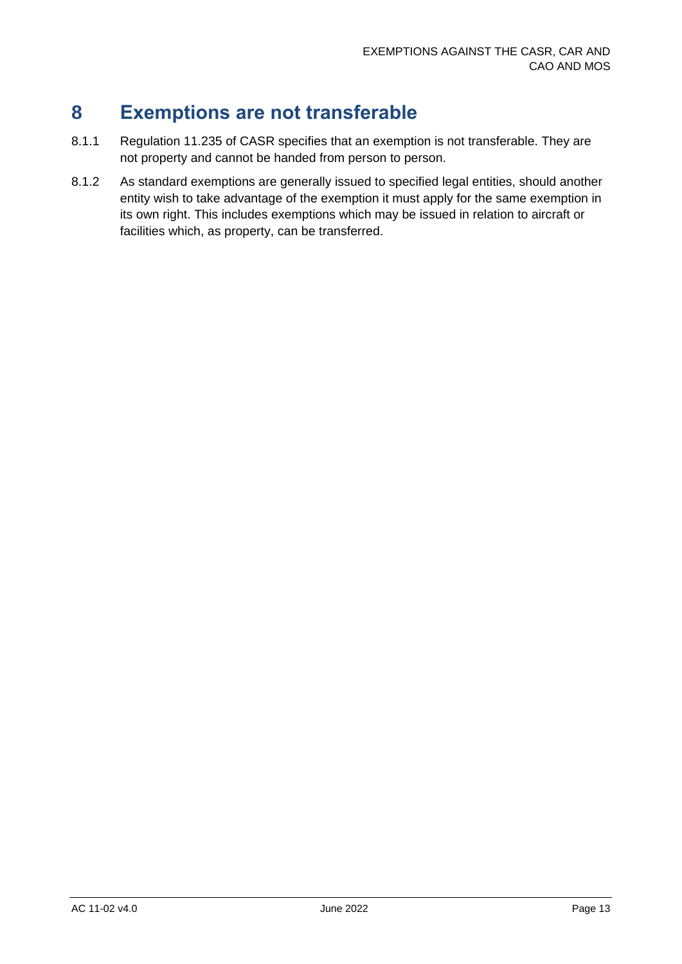### <span id="page-13-0"></span>**8 Exemptions are not transferable**

- 8.1.1 Regulation 11.235 of CASR specifies that an exemption is not transferable. They are not property and cannot be handed from person to person.
- 8.1.2 As standard exemptions are generally issued to specified legal entities, should another entity wish to take advantage of the exemption it must apply for the same exemption in its own right. This includes exemptions which may be issued in relation to aircraft or facilities which, as property, can be transferred.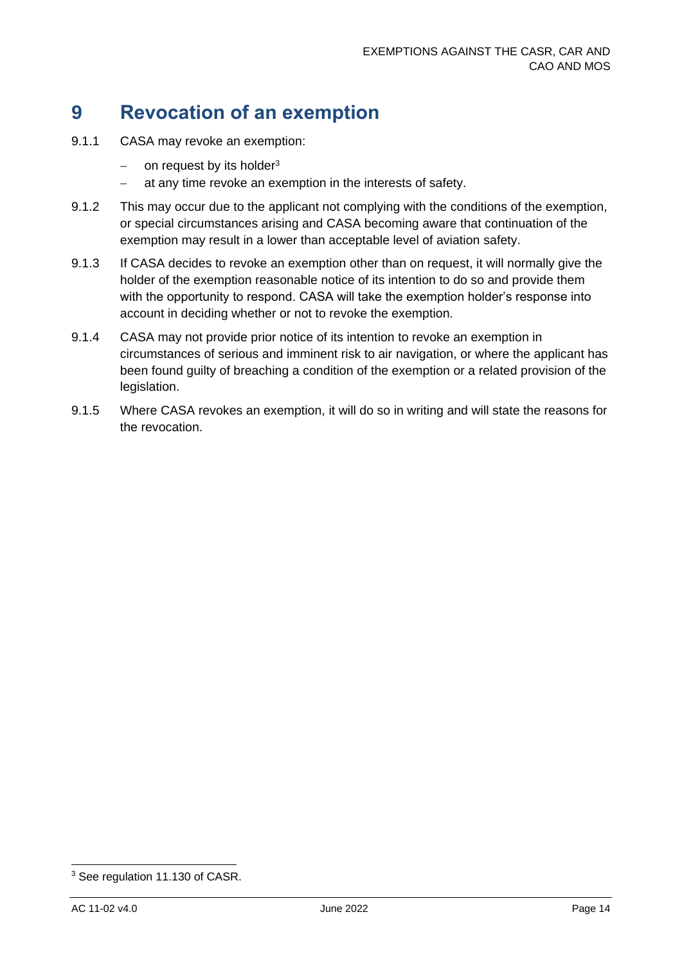### <span id="page-14-0"></span>**9 Revocation of an exemption**

- 9.1.1 CASA may revoke an exemption:
	- − on request by its holder<sup>3</sup>
	- − at any time revoke an exemption in the interests of safety.
- 9.1.2 This may occur due to the applicant not complying with the conditions of the exemption, or special circumstances arising and CASA becoming aware that continuation of the exemption may result in a lower than acceptable level of aviation safety.
- 9.1.3 If CASA decides to revoke an exemption other than on request, it will normally give the holder of the exemption reasonable notice of its intention to do so and provide them with the opportunity to respond. CASA will take the exemption holder's response into account in deciding whether or not to revoke the exemption.
- 9.1.4 CASA may not provide prior notice of its intention to revoke an exemption in circumstances of serious and imminent risk to air navigation, or where the applicant has been found guilty of breaching a condition of the exemption or a related provision of the legislation.
- 9.1.5 Where CASA revokes an exemption, it will do so in writing and will state the reasons for the revocation.

<sup>3</sup> See regulation 11.130 of CASR.